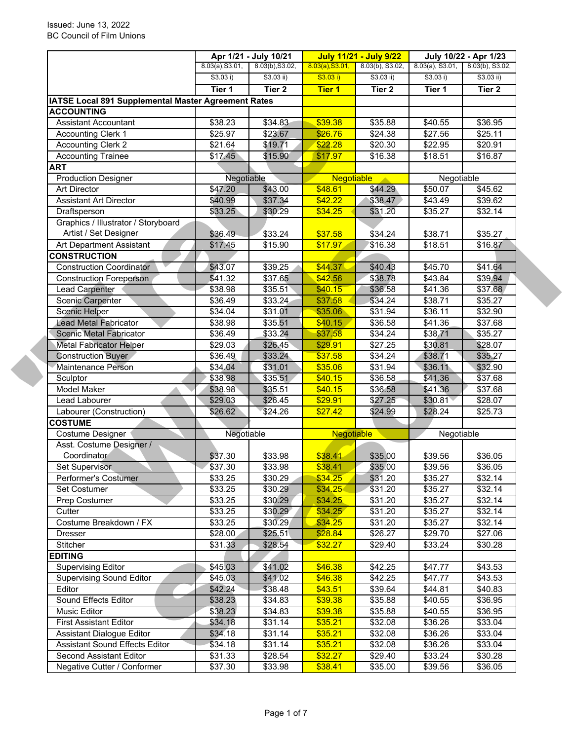|                                                     |                     | Apr 1/21 - July 10/21 |                    | <b>July 11/21 - July 9/22</b> |                    | July 10/22 - Apr 1/23 |  |
|-----------------------------------------------------|---------------------|-----------------------|--------------------|-------------------------------|--------------------|-----------------------|--|
|                                                     | 8.03(a), S3.01,     | 8.03(b), S3.02,       | 8.03(a), S3.01,    | 8.03(b), S3.02,               | $8.03(a)$ , S3.01, | 8.03(b), S3.02,       |  |
|                                                     | S3.03 i)            | $S3.03$ ii)           | S3.03 i)           | $S3.03$ ii)                   | S3.03 i)           | $S3.03$ ii)           |  |
|                                                     | Tier 1              | Tier <sub>2</sub>     | <b>Tier 1</b>      | Tier 2                        | Tier 1             | Tier <sub>2</sub>     |  |
| IATSE Local 891 Supplemental Master Agreement Rates |                     |                       |                    |                               |                    |                       |  |
| <b>ACCOUNTING</b>                                   |                     |                       |                    |                               |                    |                       |  |
| <b>Assistant Accountant</b>                         | \$38.23             | \$34.83               | \$39.38            | \$35.88                       | \$40.55            | \$36.95               |  |
| <b>Accounting Clerk 1</b>                           | \$25.97             | \$23.67               | \$26.76            | \$24.38                       | \$27.56            | \$25.11               |  |
| <b>Accounting Clerk 2</b>                           | $\overline{$21.64}$ | \$19.71               | \$22.28            | \$20.30                       | \$22.95            | \$20.91               |  |
| <b>Accounting Trainee</b>                           | \$17.45             | \$15.90               | \$17.97            | \$16.38                       | \$18.51            | \$16.87               |  |
| <b>ART</b>                                          |                     |                       |                    |                               |                    |                       |  |
| <b>Production Designer</b>                          | Negotiable          |                       | <b>Negotiable</b>  |                               | Negotiable         |                       |  |
| <b>Art Director</b>                                 | \$47.20             | \$43.00               | \$48.61            | \$44.29                       | \$50.07            | \$45.62               |  |
| <b>Assistant Art Director</b>                       | \$40.99             | \$37.34               | \$42.22            | \$38.47                       | \$43.49            | \$39.62               |  |
| Draftsperson                                        | \$33.25             | \$30.29               | \$34.25            | \$31.20                       | \$35.27            | \$32.14               |  |
| Graphics / Illustrator / Storyboard                 |                     |                       |                    |                               |                    |                       |  |
| Artist / Set Designer                               | \$36.49             | \$33.24               | \$37.58            | \$34.24                       | \$38.71            | \$35.27               |  |
| Art Department Assistant                            | \$17.45             | \$15.90               | \$17.97            | \$16.38                       | \$18.51            | \$16.87               |  |
| <b>CONSTRUCTION</b>                                 |                     |                       |                    |                               |                    |                       |  |
| <b>Construction Coordinator</b>                     | \$43.07             | \$39.25               | \$44.37            | \$40.43                       | \$45.70            | \$41.64               |  |
| <b>Construction Foreperson</b>                      | \$41.32             | \$37.65               | \$42.56            | \$38.78                       | \$43.84            | \$39.94               |  |
| <b>Lead Carpenter</b>                               | \$38.98             | \$35.51               | \$40.15            | \$36.58                       | \$41.36            | \$37.68               |  |
| <b>Scenic Carpenter</b>                             | $\overline{$36.49}$ | \$33.24               | \$37.58            | \$34.24                       | \$38.71            | \$35.27               |  |
| <b>Scenic Helper</b>                                | \$34.04             | \$31.01               | \$35.06            | \$31.94                       | \$36.11            | \$32.90               |  |
| <b>Lead Metal Fabricator</b>                        | \$38.98             | \$35.51               | \$40.15            | \$36.58                       | \$41.36            | \$37.68               |  |
| <b>Scenic Metal Fabricator</b>                      | \$36.49             | \$33.24               | \$37.58            | \$34.24                       | \$38.71            | \$35.27               |  |
| <b>Metal Fabricator Helper</b>                      | \$29.03             | \$26.45               | \$29.91            | \$27.25                       | \$30.81            | \$28.07               |  |
| <b>Construction Buyer</b>                           | \$36.49             | \$33.24               | \$37.58            | \$34.24                       | \$38.71            | \$35.27               |  |
| Maintenance Person                                  | \$34.04             | \$31.01               | \$35.06            | \$31.94                       | \$36.11            | \$32.90               |  |
| Sculptor<br>Model Maker                             | \$38.98             | \$35.51               | \$40.15<br>\$40.15 | \$36.58                       | \$41.36<br>\$41.36 | \$37.68               |  |
|                                                     | \$38.98             | \$35.51<br>\$26.45    | \$29.91            | \$36.58                       | \$30.81            | \$37.68<br>\$28.07    |  |
| Lead Labourer                                       | \$29.03<br>\$26.62  | \$24.26               |                    | \$27.25<br>\$24.99            | \$28.24            |                       |  |
| Labourer (Construction)<br><b>COSTUME</b>           |                     |                       | \$27.42            |                               |                    | \$25.73               |  |
| Costume Designer                                    | Negotiable          |                       | <b>Negotiable</b>  |                               | Negotiable         |                       |  |
| Asst. Costume Designer /                            |                     |                       |                    |                               |                    |                       |  |
| Coordinator                                         | \$37.30             | \$33.98               | \$38.41            | \$35.00                       | \$39.56            | \$36.05               |  |
| Set Supervisor                                      | \$37.30             | \$33.98               | \$38.41            | \$35.00                       | \$39.56            | \$36.05               |  |
| Performer's Costumer                                | \$33.25             | \$30.29               | \$34.25            | \$31.20                       | \$35.27            | \$32.14               |  |
| Set Costumer                                        | \$33.25             | \$30.29               | \$34.25            | \$31.20                       | \$35.27            | \$32.14               |  |
| Prep Costumer                                       | \$33.25             | \$30.29               | \$34.25            | \$31.20                       | \$35.27            | \$32.14               |  |
| Cutter                                              | \$33.25             | \$30.29               | \$34.25            | \$31.20                       | \$35.27            | \$32.14               |  |
| Costume Breakdown / FX                              | \$33.25             | \$30.29               | \$34.25            | \$31.20                       | \$35.27            | \$32.14               |  |
| Dresser                                             | \$28.00             | \$25.51               | \$28.84            | \$26.27                       | \$29.70            | \$27.06               |  |
| Stitcher                                            | \$31.33             | \$28.54               | \$32.27            | \$29.40                       | \$33.24            | \$30.28               |  |
| <b>EDITING</b>                                      |                     |                       |                    |                               |                    |                       |  |
| <b>Supervising Editor</b>                           | \$45.03             | \$41.02               | \$46.38            | \$42.25                       | \$47.77            | \$43.53               |  |
| <b>Supervising Sound Editor</b>                     | \$45.03             | \$41.02               | \$46.38            | \$42.25                       | \$47.77            | \$43.53               |  |
| Editor                                              | \$42.24             | \$38.48               | \$43.51            | \$39.64                       | \$44.81            | \$40.83               |  |
| Sound Effects Editor                                | \$38.23             | \$34.83               | \$39.38            | \$35.88                       | \$40.55            | \$36.95               |  |
| Music Editor                                        | \$38.23             | \$34.83               | \$39.38            | \$35.88                       | \$40.55            | \$36.95               |  |
| <b>First Assistant Editor</b>                       | \$34.18             | \$31.14               | \$35.21            | \$32.08                       | \$36.26            | \$33.04               |  |
| Assistant Dialogue Editor                           | \$34.18             | \$31.14               | \$35.21            | \$32.08                       | \$36.26            | \$33.04               |  |
| <b>Assistant Sound Effects Editor</b>               | \$34.18             | \$31.14               | \$35.21            | \$32.08                       | \$36.26            | \$33.04               |  |
| Second Assistant Editor                             | \$31.33             | \$28.54               | \$32.27            | \$29.40                       | \$33.24            | \$30.28               |  |
| Negative Cutter / Conformer                         | \$37.30             | \$33.98               | \$38.41            | \$35.00                       | \$39.56            | \$36.05               |  |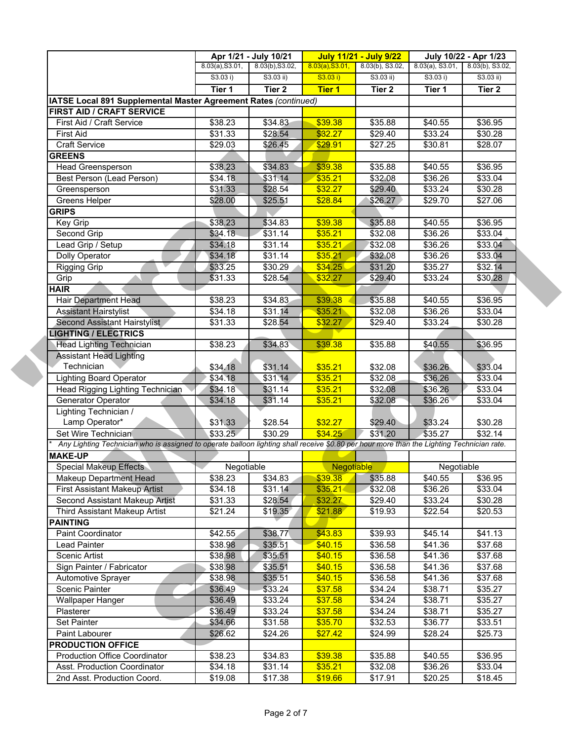|                                                                                                                                           |                 | Apr 1/21 - July 10/21 |                   | <b>July 11/21 - July 9/22</b> |                     | July 10/22 - Apr 1/23 |  |
|-------------------------------------------------------------------------------------------------------------------------------------------|-----------------|-----------------------|-------------------|-------------------------------|---------------------|-----------------------|--|
|                                                                                                                                           | 8.03(a), S3.01, | 8.03(b), S3.02,       | 8.03(a), S3.01,   | 8.03(b), S3.02,               | $8.03(a)$ , S3.01,  | 8.03(b), S3.02,       |  |
|                                                                                                                                           | S3.03 i)        | S3.03 ii)             | S3.03 i)          | $S3.03$ ii)                   | S3.03 i)            | $S3.03$ ii)           |  |
|                                                                                                                                           | Tier 1          | Tier <sub>2</sub>     | <b>Tier 1</b>     | Tier 2                        | Tier 1              | Tier 2                |  |
| IATSE Local 891 Supplemental Master Agreement Rates (continued)                                                                           |                 |                       |                   |                               |                     |                       |  |
| <b>FIRST AID / CRAFT SERVICE</b>                                                                                                          |                 |                       |                   |                               |                     |                       |  |
| First Aid / Craft Service                                                                                                                 | \$38.23         | \$34.83               | \$39.38           | \$35.88                       | \$40.55             | \$36.95               |  |
| <b>First Aid</b>                                                                                                                          | \$31.33         | \$28.54               | \$32.27           | \$29.40                       | \$33.24             | \$30.28               |  |
| <b>Craft Service</b>                                                                                                                      | \$29.03         | \$26.45               | \$29.91           | \$27.25                       | \$30.81             | \$28.07               |  |
| <b>GREENS</b>                                                                                                                             |                 |                       |                   |                               |                     |                       |  |
| <b>Head Greensperson</b>                                                                                                                  | \$38.23         | \$34.83               | \$39.38           | \$35.88                       | \$40.55             | \$36.95               |  |
| Best Person (Lead Person)                                                                                                                 | \$34.18         | \$31.14               | \$35.21           | \$32.08                       | \$36.26             | \$33.04               |  |
| Greensperson                                                                                                                              | \$31.33         | \$28.54               | \$32.27           | \$29.40                       | \$33.24             | \$30.28               |  |
| Greens Helper                                                                                                                             | \$28.00         | \$25.51               | \$28.84           | \$26.27                       | \$29.70             | \$27.06               |  |
| <b>GRIPS</b>                                                                                                                              |                 |                       |                   |                               |                     |                       |  |
| Key Grip                                                                                                                                  | \$38.23         | \$34.83               | \$39.38           | \$35.88                       | \$40.55             | \$36.95               |  |
| Second Grip                                                                                                                               | \$34.18         | \$31.14               | \$35.21           | \$32.08                       | \$36.26             | \$33.04               |  |
| Lead Grip / Setup                                                                                                                         | \$34.18         | \$31.14               | \$35.21           | \$32.08                       | \$36.26             | \$33.04               |  |
| Dolly Operator                                                                                                                            | \$34.18         | \$31.14               | \$35.21           | \$32.08                       | \$36.26             | \$33.04               |  |
| Rigging Grip                                                                                                                              | \$33.25         | \$30.29               | \$34.25           | \$31.20                       | \$35.27             | \$32.14               |  |
| Grip                                                                                                                                      | \$31.33         | \$28.54               | \$32.27           | \$29.40                       | \$33.24             | \$30.28               |  |
| <b>HAIR</b>                                                                                                                               |                 |                       |                   |                               |                     |                       |  |
| <b>Hair Department Head</b>                                                                                                               | \$38.23         | \$34.83               | \$39.38           | \$35.88                       | \$40.55             | \$36.95               |  |
| <b>Assistant Hairstylist</b>                                                                                                              | \$34.18         | \$31.14               | \$35.21           | \$32.08                       | \$36.26             | \$33.04               |  |
| <b>Second Assistant Hairstylist</b>                                                                                                       | \$31.33         | \$28.54               | \$32.27           | \$29.40                       | \$33.24             | \$30.28               |  |
| <b>LIGHTING / ELECTRICS</b>                                                                                                               |                 |                       |                   |                               |                     |                       |  |
| <b>Head Lighting Technician</b>                                                                                                           | \$38.23         | \$34.83               | \$39.38           | \$35.88                       | \$40.55             | \$36.95               |  |
| <b>Assistant Head Lighting</b>                                                                                                            |                 |                       |                   |                               |                     |                       |  |
| Technician                                                                                                                                | \$34.18         | \$31.14               | \$35.21           | \$32.08                       | \$36.26             | \$33.04               |  |
| <b>Lighting Board Operator</b>                                                                                                            | \$34.18         | \$31.14               | \$35.21           | \$32.08                       | \$36.26             | \$33.04               |  |
| Head Rigging Lighting Technician                                                                                                          | \$34.18         | \$31.14               | \$35.21           | \$32.08                       | \$36.26             | \$33.04               |  |
| Generator Operator                                                                                                                        | \$34.18         | \$31.14               | \$35.21           | \$32.08                       | \$36.26             | \$33.04               |  |
| Lighting Technician /                                                                                                                     |                 |                       |                   |                               |                     |                       |  |
| Lamp Operator*                                                                                                                            | \$31.33         | \$28.54               | \$32.27           | \$29.40                       | \$33.24             | \$30.28               |  |
| Set Wire Technician                                                                                                                       | \$33.25         | \$30.29               | \$34.25           | \$31.20                       | \$35.27             | \$32.14               |  |
| Any Lighting Technician who is assigned to operate balloon lighting shall receive \$0.80 per hour more than the Lighting Technician rate. |                 |                       |                   |                               |                     |                       |  |
| <b>MAKE-UP</b>                                                                                                                            |                 |                       |                   |                               |                     |                       |  |
| <b>Special Makeup Effects</b>                                                                                                             | Negotiable      |                       | <b>Negotiable</b> |                               | Negotiable          |                       |  |
| Makeup Department Head                                                                                                                    | \$38.23         | \$34.83               | \$39.38           | \$35.88                       | \$40.55             | \$36.95               |  |
| <b>First Assistant Makeup Artist</b>                                                                                                      | \$34.18         | \$31.14               | \$35.21           | \$32.08                       | \$36.26             | \$33.04               |  |
| Second Assistant Makeup Artist                                                                                                            | \$31.33         | \$28.54               | \$32.27           | \$29.40                       | \$33.24             | \$30.28               |  |
| Third Assistant Makeup Artist                                                                                                             | \$21.24         | \$19.35               | \$21.88           | \$19.93                       | \$22.54             | \$20.53               |  |
| <b>PAINTING</b>                                                                                                                           |                 |                       |                   |                               |                     |                       |  |
| Paint Coordinator                                                                                                                         | \$42.55         | \$38.77               | \$43.83           | \$39.93                       | \$45.14             | \$41.13               |  |
| <b>Lead Painter</b>                                                                                                                       | \$38.98         | \$35.51               | \$40.15           | \$36.58                       | \$41.36             | \$37.68               |  |
| Scenic Artist                                                                                                                             | \$38.98         | \$35.51               | \$40.15           | \$36.58                       | \$41.36             | \$37.68               |  |
| Sign Painter / Fabricator                                                                                                                 | \$38.98         | \$35.51               | \$40.15           | \$36.58                       | \$41.36             | \$37.68               |  |
| Automotive Sprayer                                                                                                                        | \$38.98         | \$35.51               | \$40.15           | \$36.58                       | \$41.36             | \$37.68               |  |
| Scenic Painter                                                                                                                            | \$36.49         | \$33.24               | \$37.58           | \$34.24                       | \$38.71             | \$35.27               |  |
| <b>Wallpaper Hanger</b>                                                                                                                   | \$36.49         | \$33.24               | \$37.58           | \$34.24                       | \$38.71             | \$35.27               |  |
| Plasterer                                                                                                                                 | \$36.49         |                       |                   |                               |                     |                       |  |
|                                                                                                                                           |                 | \$33.24               | \$37.58           | \$34.24                       | \$38.71             | \$35.27               |  |
| Set Painter                                                                                                                               | \$34.66         | \$31.58               | \$35.70           | \$32.53                       | \$36.77             | \$33.51               |  |
| Paint Labourer                                                                                                                            | \$26.62         | \$24.26               | \$27.42           | \$24.99                       | \$28.24             | \$25.73               |  |
| <b>PRODUCTION OFFICE</b>                                                                                                                  |                 |                       |                   |                               |                     |                       |  |
| <b>Production Office Coordinator</b>                                                                                                      | \$38.23         | \$34.83               | \$39.38           | \$35.88                       | $\overline{$}40.55$ | \$36.95               |  |
| Asst. Production Coordinator                                                                                                              | \$34.18         | \$31.14               | \$35.21           | \$32.08                       | \$36.26             | \$33.04               |  |
| 2nd Asst. Production Coord.                                                                                                               | \$19.08         | \$17.38               | \$19.66           | \$17.91                       | \$20.25             | \$18.45               |  |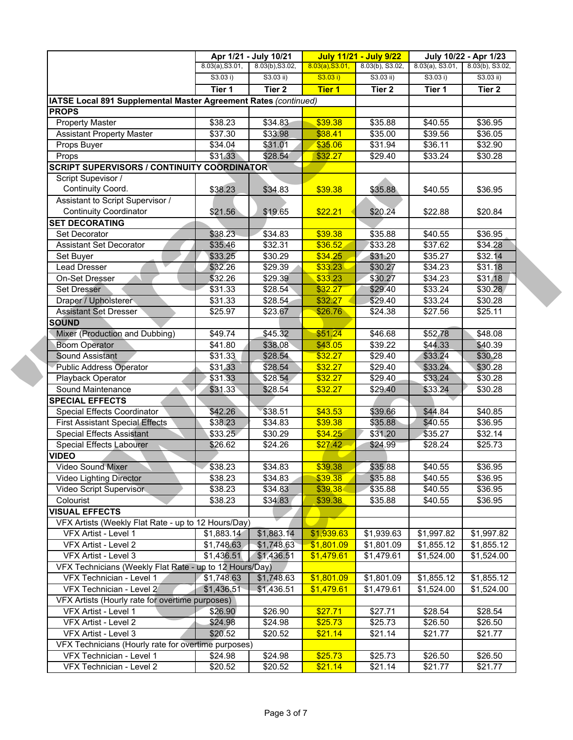|                                                                 | Apr 1/21 - July 10/21 |                   | <b>July 11/21 - July 9/22</b> |                   | July 10/22 - Apr 1/23 |                 |  |
|-----------------------------------------------------------------|-----------------------|-------------------|-------------------------------|-------------------|-----------------------|-----------------|--|
|                                                                 | 8.03(a), S3.01,       | 8.03(b), S3.02,   | 8.03(a), S3.01,               | 8.03(b), S3.02,   | $8.03(a)$ , S3.01,    | 8.03(b), S3.02, |  |
|                                                                 | S3.03 i)              | S3.03 ii)         | S3.03 i)                      | S3.03 ii)         | S3.03 i)              | $S3.03$ ii)     |  |
|                                                                 | Tier 1                | Tier <sub>2</sub> | <b>Tier 1</b>                 | Tier <sub>2</sub> | Tier 1                | Tier 2          |  |
| IATSE Local 891 Supplemental Master Agreement Rates (continued) |                       |                   |                               |                   |                       |                 |  |
| <b>PROPS</b>                                                    |                       |                   |                               |                   |                       |                 |  |
| <b>Property Master</b>                                          | \$38.23               | \$34.83           | \$39.38                       | \$35.88           | \$40.55               | \$36.95         |  |
| <b>Assistant Property Master</b>                                | \$37.30               | \$33.98           | \$38.41                       | \$35.00           | \$39.56               | \$36.05         |  |
| Props Buyer                                                     | \$34.04               | \$31.01           | \$35.06                       | \$31.94           | $\overline{$}36.11$   | \$32.90         |  |
| Props                                                           | \$31.33               | \$28.54           | \$32.27                       | \$29.40           | \$33.24               | \$30.28         |  |
| <b>SCRIPT SUPERVISORS / CONTINUITY COORDINATOR</b>              |                       |                   |                               |                   |                       |                 |  |
| Script Supevisor /                                              |                       |                   |                               |                   |                       |                 |  |
| Continuity Coord.                                               | \$38.23               | \$34.83           | \$39.38                       | \$35.88           | \$40.55               | \$36.95         |  |
| Assistant to Script Supervisor /                                |                       |                   |                               |                   |                       |                 |  |
| <b>Continuity Coordinator</b>                                   | \$21.56               | \$19.65           | \$22.21                       | \$20.24           | \$22.88               | \$20.84         |  |
| <b>SET DECORATING</b>                                           |                       |                   |                               |                   |                       |                 |  |
| Set Decorator                                                   | \$38.23               | \$34.83           | \$39.38                       | \$35.88           | \$40.55               | \$36.95         |  |
| <b>Assistant Set Decorator</b>                                  | \$35.46               | \$32.31           | \$36.52                       | \$33.28           | \$37.62               | \$34.28         |  |
| Set Buyer                                                       | \$33.25               | \$30.29           | \$34.25                       | \$31.20           | \$35.27               | \$32.14         |  |
| Lead Dresser                                                    | \$32.26               | \$29.39           | \$33.23                       | \$30.27           | \$34.23               | \$31.18         |  |
| On-Set Dresser                                                  | \$32.26               | \$29.39           | \$33.23                       | \$30.27           | \$34.23               | \$31.18         |  |
| <b>Set Dresser</b>                                              | \$31.33               | \$28.54           | \$32.27                       | \$29.40           | \$33.24               | \$30.28         |  |
| Draper / Upholsterer                                            | \$31.33               | \$28.54           | \$32.27                       | \$29.40           | \$33.24               | \$30.28         |  |
| <b>Assistant Set Dresser</b>                                    | \$25.97               | \$23.67           | \$26.76                       | \$24.38           | \$27.56               | \$25.11         |  |
| <b>SOUND</b>                                                    |                       |                   |                               |                   |                       |                 |  |
| Mixer (Production and Dubbing)                                  | \$49.74               | \$45.32           | \$51.24                       | \$46.68           | \$52.78               | \$48.08         |  |
| <b>Boom Operator</b>                                            | \$41.80               | \$38.08           | \$43.05                       | \$39.22           | \$44.33               | \$40.39         |  |
| Sound Assistant                                                 | \$31.33               | \$28.54           | \$32.27                       | \$29.40           | \$33.24               | \$30.28         |  |
| <b>Public Address Operator</b>                                  | \$31.33               | \$28.54           | \$32.27                       | \$29.40           | \$33.24               | \$30.28         |  |
| Playback Operator                                               | \$31.33               | \$28.54           | \$32.27                       | \$29.40           | \$33.24               | \$30.28         |  |
| Sound Maintenance                                               | \$31.33               | \$28.54           | \$32.27                       | \$29.40           | \$33.24               | \$30.28         |  |
| <b>SPECIAL EFFECTS</b>                                          |                       |                   |                               |                   |                       |                 |  |
| Special Effects Coordinator                                     | \$42.26               | \$38.51           | \$43.53                       | \$39.66           | \$44.84               | \$40.85         |  |
| <b>First Assistant Special Effects</b>                          | \$38.23               | \$34.83           | \$39.38                       | \$35.88           | \$40.55               | \$36.95         |  |
| Special Effects Assistant                                       | \$33.25               | \$30.29           | \$34.25                       | \$31.20           | \$35.27               | \$32.14         |  |
| <b>Special Effects Labourer</b>                                 | \$26.62               | \$24.26           | \$27.42                       | \$24.99           | \$28.24               | \$25.73         |  |
| <b>VIDEO</b>                                                    |                       |                   |                               |                   |                       |                 |  |
| Video Sound Mixer                                               | \$38.23               | \$34.83           | \$39.38                       | \$35.88           | \$40.55               | \$36.95         |  |
| <b>Video Lighting Director</b>                                  | \$38.23               | \$34.83           | \$39.38                       | \$35.88           | \$40.55               | \$36.95         |  |
| <b>Video Script Supervisor</b>                                  | \$38.23               | \$34.83           | \$39.38                       | \$35.88           | \$40.55               | \$36.95         |  |
| Colourist                                                       | \$38.23               | \$34.83           | \$39.38                       | \$35.88           | \$40.55               | \$36.95         |  |
| <b>VISUAL EFFECTS</b>                                           |                       |                   |                               |                   |                       |                 |  |
| VFX Artists (Weekly Flat Rate - up to 12 Hours/Day)             |                       |                   |                               |                   |                       |                 |  |
| VFX Artist - Level 1                                            | \$1,883.14            | \$1,883.14        | \$1,939.63                    | \$1,939.63        | \$1,997.82            | \$1,997.82      |  |
| VFX Artist - Level 2                                            | \$1,748.63            | \$1,748.63        | \$1,801.09                    | \$1,801.09        | \$1,855.12            | \$1,855.12      |  |
| VFX Artist - Level 3                                            | \$1,436.51            | \$1,436.51        | \$1,479.61                    | \$1,479.61        | \$1,524.00            | \$1,524.00      |  |
| VFX Technicians (Weekly Flat Rate - up to 12 Hours/Day)         |                       |                   |                               |                   |                       |                 |  |
| VFX Technician - Level 1                                        | \$1,748.63            | \$1,748.63        | \$1,801.09                    | \$1,801.09        | \$1,855.12            | \$1,855.12      |  |
| VFX Technician - Level 2                                        | \$1,436.51            | \$1,436.51        | \$1,479.61                    | \$1,479.61        | \$1,524.00            | \$1,524.00      |  |
| VFX Artists (Hourly rate for overtime purposes)                 |                       |                   |                               |                   |                       |                 |  |
| VFX Artist - Level 1                                            | \$26.90               | \$26.90           | \$27.71                       | \$27.71           | \$28.54               | \$28.54         |  |
| VFX Artist - Level 2                                            | \$24.98               | \$24.98           | \$25.73                       | \$25.73           | \$26.50               | \$26.50         |  |
| VFX Artist - Level 3                                            | \$20.52               | \$20.52           | \$21.14                       | \$21.14           | \$21.77               | \$21.77         |  |
|                                                                 |                       |                   |                               |                   |                       |                 |  |
| VFX Technicians (Hourly rate for overtime purposes)             |                       |                   |                               |                   |                       |                 |  |
| VFX Technician - Level 1                                        | \$24.98               | \$24.98           | \$25.73                       | \$25.73           | \$26.50               | \$26.50         |  |